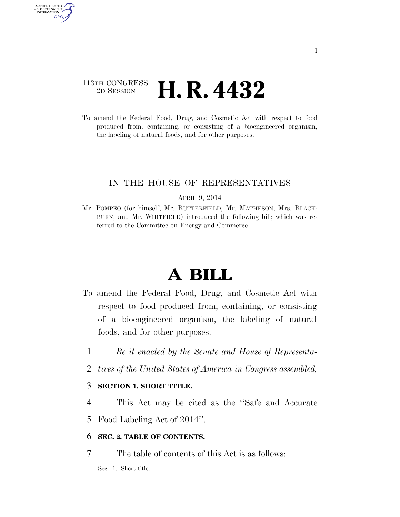# 113TH CONGRESS <sup>2D SESSION</sup> **H. R. 4432**

AUTHENTICATED U.S. GOVERNMENT GPO

> To amend the Federal Food, Drug, and Cosmetic Act with respect to food produced from, containing, or consisting of a bioengineered organism, the labeling of natural foods, and for other purposes.

# IN THE HOUSE OF REPRESENTATIVES

APRIL 9, 2014

Mr. POMPEO (for himself, Mr. BUTTERFIELD, Mr. MATHESON, Mrs. BLACK-BURN, and Mr. WHITFIELD) introduced the following bill; which was referred to the Committee on Energy and Commerce

# **A BILL**

- To amend the Federal Food, Drug, and Cosmetic Act with respect to food produced from, containing, or consisting of a bioengineered organism, the labeling of natural foods, and for other purposes.
	- 1 *Be it enacted by the Senate and House of Representa-*
	- 2 *tives of the United States of America in Congress assembled,*

# 3 **SECTION 1. SHORT TITLE.**

4 This Act may be cited as the ''Safe and Accurate

5 Food Labeling Act of 2014''.

# 6 **SEC. 2. TABLE OF CONTENTS.**

7 The table of contents of this Act is as follows:

Sec. 1. Short title.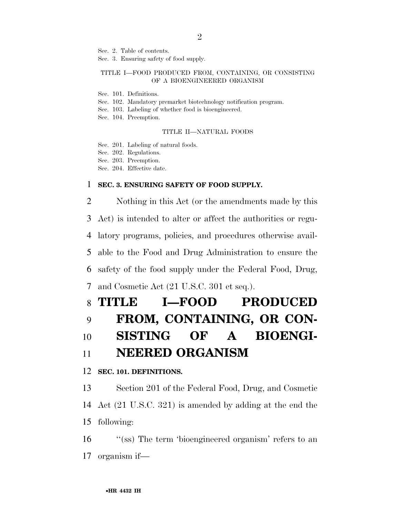Sec. 2. Table of contents.

Sec. 3. Ensuring safety of food supply.

#### TITLE I—FOOD PRODUCED FROM, CONTAINING, OR CONSISTING OF A BIOENGINEERED ORGANISM

- Sec. 101. Definitions.
- Sec. 102. Mandatory premarket biotechnology notification program.
- Sec. 103. Labeling of whether food is bioengineered.
- Sec. 104. Preemption.

#### TITLE II—NATURAL FOODS

- Sec. 201. Labeling of natural foods.
- Sec. 202. Regulations.
- Sec. 203. Preemption.
- Sec. 204. Effective date.

### 1 **SEC. 3. ENSURING SAFETY OF FOOD SUPPLY.**

2 Nothing in this Act (or the amendments made by this Act) is intended to alter or affect the authorities or regu- latory programs, policies, and procedures otherwise avail- able to the Food and Drug Administration to ensure the safety of the food supply under the Federal Food, Drug, and Cosmetic Act (21 U.S.C. 301 et seq.). **TITLE I—FOOD PRODUCED** 

# 9 **FROM, CONTAINING, OR CON-**10 **SISTING OF A BIOENGI-**

# 11 **NEERED ORGANISM**

### 12 **SEC. 101. DEFINITIONS.**

13 Section 201 of the Federal Food, Drug, and Cosmetic 14 Act (21 U.S.C. 321) is amended by adding at the end the 15 following:

16 ''(ss) The term 'bioengineered organism' refers to an 17 organism if—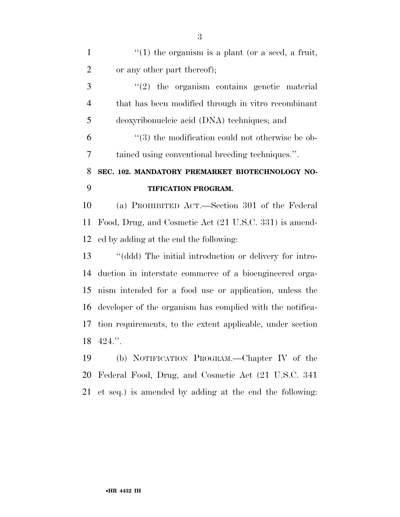| $\mathbf{1}$   | $f'(1)$ the organism is a plant (or a seed, a fruit,             |
|----------------|------------------------------------------------------------------|
| $\overline{2}$ | or any other part thereof);                                      |
| 3              | $\lq(2)$ the organism contains genetic material                  |
| $\overline{4}$ | that has been modified through in vitro recombinant              |
| 5              | deoxyribonucleic acid (DNA) techniques; and                      |
| 6              | $\cdot\cdot\cdot(3)$ the modification could not otherwise be ob- |
| 7              | tained using conventional breeding techniques.".                 |
| 8              | SEC. 102. MANDATORY PREMARKET BIOTECHNOLOGY NO-                  |
| 9              | TIFICATION PROGRAM.                                              |
| 10             | (a) PROHIBITED ACT.—Section 301 of the Federal                   |
| 11             | Food, Drug, and Cosmetic Act (21 U.S.C. 331) is amend-           |
| 12             | ed by adding at the end the following:                           |
| 13             | "(ddd) The initial introduction or delivery for intro-           |
| 14             | duction in interstate commerce of a bioengineered orga-          |
| 15             | nism intended for a food use or application, unless the          |
| 16             | developer of the organism has complied with the notifica-        |
| 17             | tion requirements, to the extent applicable, under section       |
| 18             | $424.$ "                                                         |
| 19             | (b) NOTIFICATION PROGRAM.—Chapter IV of the                      |
|                | 20 Federal Food, Drug, and Cosmetic Act (21 U.S.C. 341)          |

et seq.) is amended by adding at the end the following: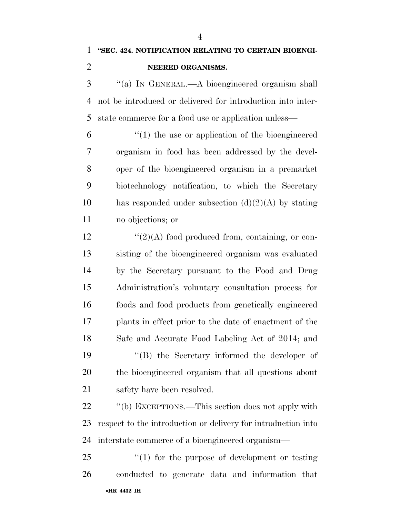''(a) IN GENERAL.—A bioengineered organism shall not be introduced or delivered for introduction into inter-state commerce for a food use or application unless—

 ''(1) the use or application of the bioengineered organism in food has been addressed by the devel- oper of the bioengineered organism in a premarket biotechnology notification, to which the Secretary 10 has responded under subsection  $(d)(2)(A)$  by stating no objections; or

 ''(2)(A) food produced from, containing, or con- sisting of the bioengineered organism was evaluated by the Secretary pursuant to the Food and Drug Administration's voluntary consultation process for foods and food products from genetically engineered plants in effect prior to the date of enactment of the Safe and Accurate Food Labeling Act of 2014; and ''(B) the Secretary informed the developer of the bioengineered organism that all questions about safety have been resolved.

22 ''(b) EXCEPTIONS.—This section does not apply with respect to the introduction or delivery for introduction into interstate commerce of a bioengineered organism—

•**HR 4432 IH** 25 "(1) for the purpose of development or testing conducted to generate data and information that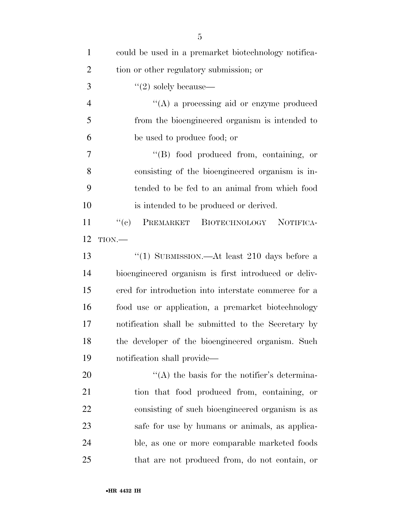| $\mathbf{1}$   | could be used in a premarket biotechnology notifica- |
|----------------|------------------------------------------------------|
| $\overline{2}$ | tion or other regulatory submission; or              |
| 3              | $\lq(2)$ solely because—                             |
| $\overline{4}$ | $\lq\lq$ a processing aid or enzyme produced         |
| 5              | from the bioengineered organism is intended to       |
| 6              | be used to produce food; or                          |
| 7              | $\lq\lq (B)$ food produced from, containing, or      |
| 8              | consisting of the bioengineered organism is in-      |
| 9              | tended to be fed to an animal from which food        |
| 10             | is intended to be produced or derived.               |
| 11             | ``(e)<br>PREMARKET BIOTECHNOLOGY NOTIFICA-           |
| 12             | $TION$ .                                             |
| 13             | "(1) SUBMISSION.—At least 210 days before a          |
| 14             | bioengineered organism is first introduced or deliv- |
| 15             | ered for introduction into interstate commerce for a |
| 16             | food use or application, a premarket biotechnology   |
| 17             | notification shall be submitted to the Secretary by  |
| 18             | the developer of the bioengineered organism. Such    |
| 19             | notification shall provide—                          |
| 20             | $\lq\lq$ the basis for the notifier's determina-     |
| 21             | tion that food produced from, containing, or         |
| 22             | consisting of such bioengineered organism is as      |
| 23             | safe for use by humans or animals, as applica-       |
| 24             | ble, as one or more comparable marketed foods        |
| 25             | that are not produced from, do not contain, or       |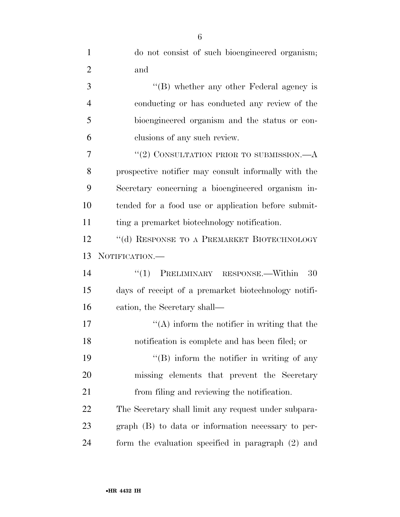| $\mathbf{1}$   | do not consist of such bioengineered organism;       |
|----------------|------------------------------------------------------|
| $\overline{2}$ | and                                                  |
| 3              | "(B) whether any other Federal agency is             |
| $\overline{4}$ | conducting or has conducted any review of the        |
| 5              | bioengineered organism and the status or con-        |
| 6              | clusions of any such review.                         |
| 7              | "(2) CONSULTATION PRIOR TO SUBMISSION. $-A$          |
| 8              | prospective notifier may consult informally with the |
| 9              | Secretary concerning a bioengineered organism in-    |
| 10             | tended for a food use or application before submit-  |
| 11             | ting a premarket biotechnology notification.         |
| 12             | "(d) RESPONSE TO A PREMARKET BIOTECHNOLOGY           |
|                |                                                      |
| 13             | NOTIFICATION.-                                       |
| 14             | PRELIMINARY RESPONSE.—Within<br>``(1)<br>- 30        |
| 15             | days of receipt of a premarket biotechnology notifi- |
| 16             | cation, the Secretary shall—                         |
| 17             | $\lq\lq$ inform the notifier in writing that the     |
| 18             | notification is complete and has been filed; or      |
| 19             | $\lq\lq (B)$ inform the notifier in writing of any   |
| 20             | missing elements that prevent the Secretary          |
| 21             | from filing and reviewing the notification.          |
| 22             | The Secretary shall limit any request under subpara- |
| 23             | $graph$ (B) to data or information necessary to per- |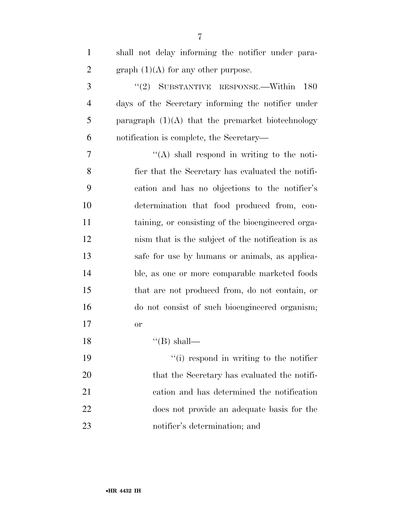| $\mathbf{1}$   | shall not delay informing the notifier under para-  |
|----------------|-----------------------------------------------------|
| $\overline{2}$ | graph $(1)(A)$ for any other purpose.               |
| 3              | "(2) SUBSTANTIVE RESPONSE.—Within $180$             |
| $\overline{4}$ | days of the Secretary informing the notifier under  |
| 5              | paragraph $(1)(A)$ that the premarket biotechnology |
| 6              | notification is complete, the Secretary—            |
| 7              | $\lq\lq$ shall respond in writing to the noti-      |
| 8              | fier that the Secretary has evaluated the notifi-   |
| 9              | cation and has no objections to the notifier's      |
| 10             | determination that food produced from, con-         |
| 11             | taining, or consisting of the bioengineered orga-   |
| 12             | nism that is the subject of the notification is as  |
| 13             | safe for use by humans or animals, as applica-      |
| 14             | ble, as one or more comparable marketed foods       |
| 15             | that are not produced from, do not contain, or      |
| 16             | do not consist of such bioengineered organism;      |
| 17             | or                                                  |
| 18             | $\lq$ (B) shall—                                    |
| 19             | "(i) respond in writing to the notifier             |
| 20             | that the Secretary has evaluated the notifi-        |
| 21             | cation and has determined the notification          |
| 22             | does not provide an adequate basis for the          |
| 23             | notifier's determination; and                       |

•**HR 4432 IH**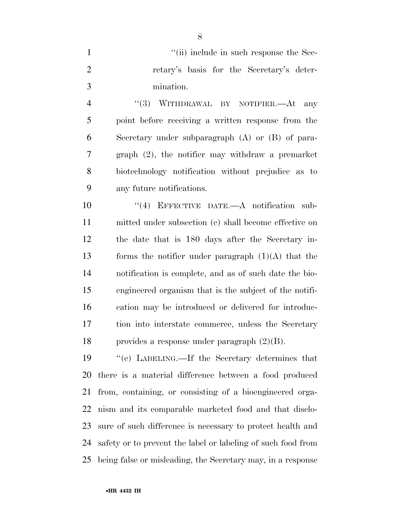| "(ii) include in such response the Sec-   |
|-------------------------------------------|
| retary's basis for the Secretary's deter- |
| mination.                                 |

4 "(3) WITHDRAWAL BY NOTIFIER.—At any point before receiving a written response from the Secretary under subparagraph (A) or (B) of para- graph (2), the notifier may withdraw a premarket biotechnology notification without prejudice as to any future notifications.

10 "(4) EFFECTIVE DATE.—A notification sub- mitted under subsection (c) shall become effective on the date that is 180 days after the Secretary in- forms the notifier under paragraph (1)(A) that the notification is complete, and as of such date the bio- engineered organism that is the subject of the notifi- cation may be introduced or delivered for introduc- tion into interstate commerce, unless the Secretary provides a response under paragraph (2)(B).

 ''(e) LABELING.—If the Secretary determines that there is a material difference between a food produced from, containing, or consisting of a bioengineered orga- nism and its comparable marketed food and that disclo- sure of such difference is necessary to protect health and safety or to prevent the label or labeling of such food from being false or misleading, the Secretary may, in a response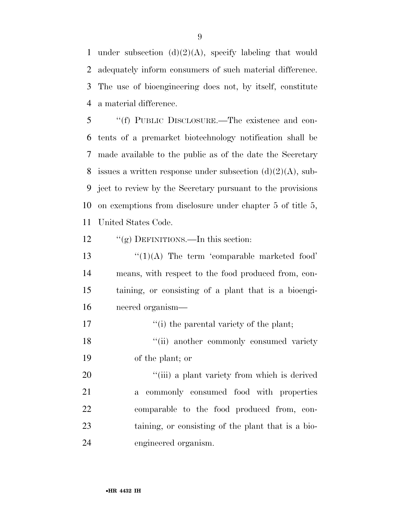1 under subsection  $(d)(2)(A)$ , specify labeling that would adequately inform consumers of such material difference. The use of bioengineering does not, by itself, constitute a material difference.

 ''(f) PUBLIC DISCLOSURE.—The existence and con- tents of a premarket biotechnology notification shall be made available to the public as of the date the Secretary 8 issues a written response under subsection  $(d)(2)(A)$ , sub- ject to review by the Secretary pursuant to the provisions on exemptions from disclosure under chapter 5 of title 5, United States Code.

12 "(g) DEFINITIONS.—In this section:

 $\frac{13}{2}$   $\frac{(1)(A)}{B}$  The term 'comparable marketed food' means, with respect to the food produced from, con- taining, or consisting of a plant that is a bioengi-neered organism—

17  $''(i)$  the parental variety of the plant;

18 ''(ii) another commonly consumed variety of the plant; or

 $\frac{1}{1}$  (iii) a plant variety from which is derived a commonly consumed food with properties comparable to the food produced from, con- taining, or consisting of the plant that is a bio-engineered organism.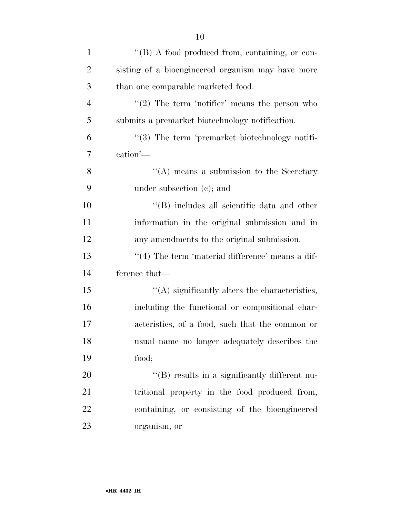| $\mathbf{1}$   | "(B) A food produced from, containing, or con-          |
|----------------|---------------------------------------------------------|
| $\overline{2}$ | sisting of a bioengineered organism may have more       |
| 3              | than one comparable marketed food.                      |
| $\overline{4}$ | $\lq(2)$ The term 'notifier' means the person who       |
| 5              | submits a premarket biotechnology notification.         |
| 6              | "(3) The term 'premarket biotechnology notifi-          |
| 7              | $\operatorname{cation'--}$                              |
| 8              | "(A) means a submission to the Secretary                |
| 9              | under subsection (c); and                               |
| 10             | $\lq\lq$ (B) includes all scientific data and other     |
| 11             | information in the original submission and in           |
| 12             | any amendments to the original submission.              |
| 13             | $\cdot$ (4) The term 'material difference' means a dif- |
| 14             | ference that—                                           |
| 15             | $\lq\lq$ significantly alters the characteristics,      |
| 16             | including the functional or compositional char-         |
| 17             | acteristics, of a food, such that the common or         |
| 18             | usual name no longer adequately describes the           |
| 19             | food;                                                   |
| 20             | "(B) results in a significantly different nu-           |
| 21             | tritional property in the food produced from,           |
| 22             | containing, or consisting of the bioengineered          |
| 23             | organism; or                                            |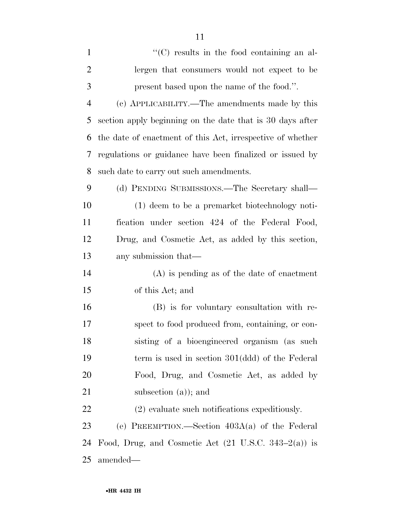| $\mathbf{1}$   | $\lq\lq$ results in the food containing an al-                  |
|----------------|-----------------------------------------------------------------|
| $\overline{2}$ | lergen that consumers would not expect to be                    |
| 3              | present based upon the name of the food.".                      |
| $\overline{4}$ | (c) APPLICABILITY.—The amendments made by this                  |
| 5              | section apply beginning on the date that is 30 days after       |
| 6              | the date of enactment of this Act, irrespective of whether      |
| 7              | regulations or guidance have been finalized or issued by        |
| 8              | such date to carry out such amendments.                         |
| 9              | (d) PENDING SUBMISSIONS.—The Secretary shall—                   |
| 10             | (1) deem to be a premarket biotechnology noti-                  |
| 11             | fication under section 424 of the Federal Food,                 |
| 12             | Drug, and Cosmetic Act, as added by this section,               |
| 13             | any submission that—                                            |
| 14             | $(A)$ is pending as of the date of enactment                    |
| 15             | of this Act; and                                                |
| 16             | (B) is for voluntary consultation with re-                      |
| 17             | spect to food produced from, containing, or con-                |
| 18             | sisting of a bioengineered organism (as such                    |
| 19             | term is used in section 301(ddd) of the Federal                 |
| 20             | Food, Drug, and Cosmetic Act, as added by                       |
| 21             | subsection $(a)$ ; and                                          |
| 22             | $(2)$ evaluate such notifications expeditiously.                |
| 23             | (e) PREEMPTION.—Section $403A(a)$ of the Federal                |
| 24             | Food, Drug, and Cosmetic Act $(21 \text{ U.S.C. } 343-2(a))$ is |
| 25             | amended—                                                        |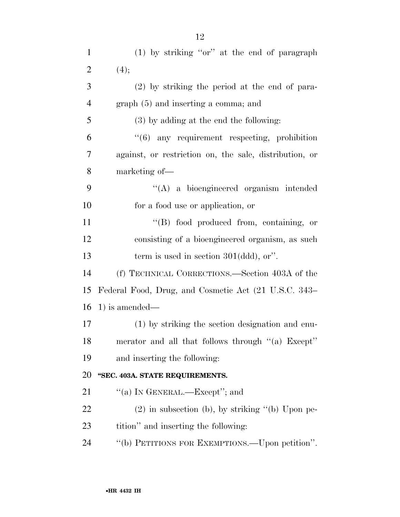| $\mathbf{1}$   | $(1)$ by striking "or" at the end of paragraph         |
|----------------|--------------------------------------------------------|
| $\overline{2}$ | (4);                                                   |
| 3              | $(2)$ by striking the period at the end of para-       |
| $\overline{4}$ | $graph(5)$ and inserting a comma; and                  |
| 5              | $(3)$ by adding at the end the following:              |
| 6              | $"(6)$ any requirement respecting, prohibition         |
| 7              | against, or restriction on, the sale, distribution, or |
| 8              | marketing of—                                          |
| 9              | "(A) a bioengineered organism intended                 |
| 10             | for a food use or application, or                      |
| 11             | "(B) food produced from, containing, or                |
| 12             | consisting of a bioengineered organism, as such        |
| 13             | term is used in section $301(\text{ddd})$ , or".       |
| 14             | (f) TECHNICAL CORRECTIONS.—Section 403A of the         |
| 15             | Federal Food, Drug, and Cosmetic Act (21 U.S.C. 343–   |
| 16             | $1)$ is amended—                                       |
| 17             | (1) by striking the section designation and enu-       |
| 18             | merator and all that follows through "(a) Except"      |
| 19             | and inserting the following:                           |
| 20             | "SEC. 403A. STATE REQUIREMENTS.                        |
| 21             | "(a) IN GENERAL.—Except"; and                          |
| 22             | $(2)$ in subsection (b), by striking "(b) Upon pe-     |
| 23             | tition" and inserting the following:                   |
| 24             | "(b) PETITIONS FOR EXEMPTIONS.—Upon petition".         |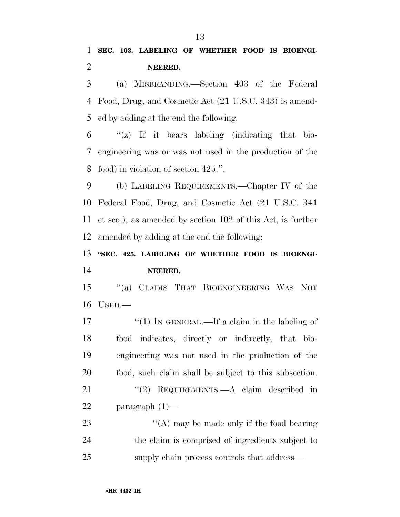(a) MISBRANDING.—Section 403 of the Federal Food, Drug, and Cosmetic Act (21 U.S.C. 343) is amend-ed by adding at the end the following:

 $\frac{6}{2}$  ''(z) If it bears labeling (indicating that bio- engineering was or was not used in the production of the food) in violation of section 425.''.

 (b) LABELING REQUIREMENTS.—Chapter IV of the Federal Food, Drug, and Cosmetic Act (21 U.S.C. 341 et seq.), as amended by section 102 of this Act, is further amended by adding at the end the following:

# **''SEC. 425. LABELING OF WHETHER FOOD IS BIOENGI-NEERED.**

 ''(a) CLAIMS THAT BIOENGINEERING WAS NOT USED.—

17 ''(1) IN GENERAL.—If a claim in the labeling of food indicates, directly or indirectly, that bio- engineering was not used in the production of the food, such claim shall be subject to this subsection. 21 "(2) REQUIREMENTS.—A claim described in paragraph (1)—

23 ''(A) may be made only if the food bearing the claim is comprised of ingredients subject to supply chain process controls that address—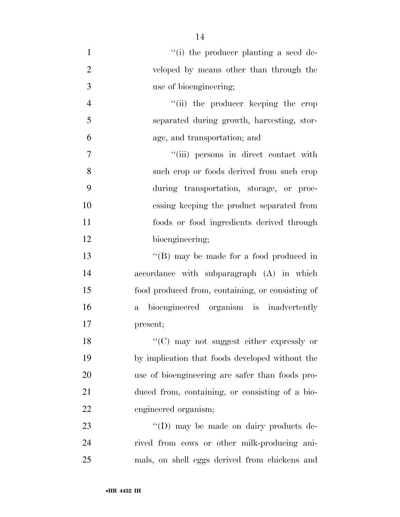| $\mathbf{1}$   | "(i) the producer planting a seed de-                   |
|----------------|---------------------------------------------------------|
| $\overline{2}$ | veloped by means other than through the                 |
| 3              | use of bioengineering;                                  |
| $\overline{4}$ | "(ii) the producer keeping the crop                     |
| 5              | separated during growth, harvesting, stor-              |
| 6              | age, and transportation; and                            |
| 7              | "(iii) persons in direct contact with                   |
| 8              | such erop or foods derived from such erop               |
| 9              | during transportation, storage, or proc-                |
| 10             | essing keeping the product separated from               |
| 11             | foods or food ingredients derived through               |
| 12             | bioengineering;                                         |
| 13             | "(B) may be made for a food produced in                 |
| 14             | accordance with subparagraph (A) in which               |
| 15             | food produced from, containing, or consisting of        |
| 16             | bioengineered organism is inadvertently<br>$\mathbf{a}$ |
| 17             | present;                                                |
| 18             | "(C) may not suggest either expressly or                |
| 19             | by implication that foods developed without the         |
| 20             | use of bioengineering are safer than foods pro-         |
| 21             | duced from, containing, or consisting of a bio-         |
| 22             | engineered organism;                                    |
| 23             | "(D) may be made on dairy products de-                  |
| 24             | rived from cows or other milk-producing ani-            |
| 25             | mals, on shell eggs derived from chickens and           |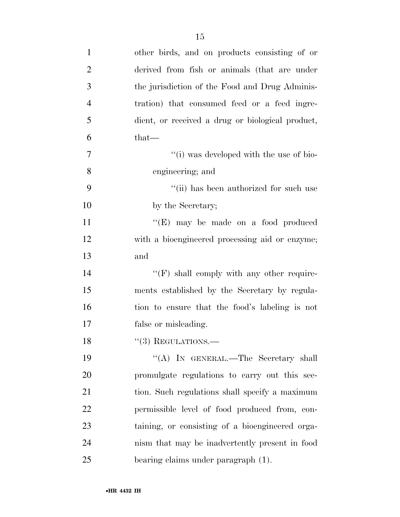| $\mathbf{1}$   | other birds, and on products consisting of or    |
|----------------|--------------------------------------------------|
| $\overline{2}$ | derived from fish or animals (that are under     |
| 3              | the jurisdiction of the Food and Drug Adminis-   |
| $\overline{4}$ | tration) that consumed feed or a feed ingre-     |
| 5              | dient, or received a drug or biological product, |
| 6              | $that-$                                          |
| 7              | "(i) was developed with the use of bio-          |
| 8              | engineering; and                                 |
| 9              | "(ii) has been authorized for such use           |
| 10             | by the Secretary;                                |
| 11             | $\lq\lq(E)$ may be made on a food produced       |
| 12             | with a bioengineered processing aid or enzyme;   |
| 13             | and                                              |
| 14             | "(F) shall comply with any other require-        |
| 15             | ments established by the Secretary by regula-    |
| 16             | tion to ensure that the food's labeling is not   |
| 17             | false or misleading.                             |
| 18             | $\lq(3)$ REGULATIONS.—                           |
| 19             | "(A) IN GENERAL.—The Secretary shall             |
| 20             | promulgate regulations to carry out this sec-    |
| 21             | tion. Such regulations shall specify a maximum   |
| 22             | permissible level of food produced from, con-    |
| 23             | taining, or consisting of a bioengineered orga-  |
| 24             | nism that may be inadvertently present in food   |
| 25             | bearing claims under paragraph (1).              |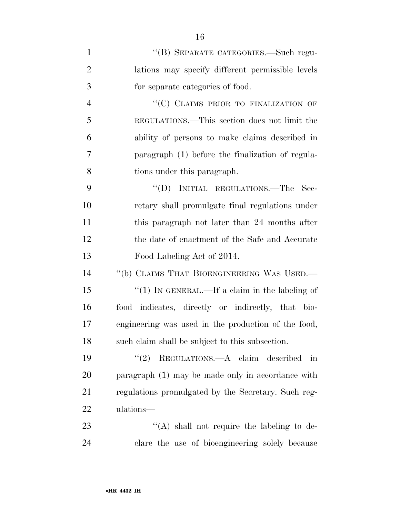| $\mathbf{1}$   | "(B) SEPARATE CATEGORIES.—Such regu-                |
|----------------|-----------------------------------------------------|
| $\overline{2}$ | lations may specify different permissible levels    |
| 3              | for separate categories of food.                    |
| $\overline{4}$ | "(C) CLAIMS PRIOR TO FINALIZATION OF                |
| 5              | REGULATIONS.—This section does not limit the        |
| 6              | ability of persons to make claims described in      |
| 7              | paragraph (1) before the finalization of regula-    |
| 8              | tions under this paragraph.                         |
| 9              | "(D) INITIAL REGULATIONS.—The Sec-                  |
| 10             | retary shall promulgate final regulations under     |
| 11             | this paragraph not later than 24 months after       |
| 12             | the date of enactment of the Safe and Accurate      |
| 13             | Food Labeling Act of 2014.                          |
| 14             | "(b) CLAIMS THAT BIOENGINEERING WAS USED.—          |
| 15             | "(1) IN GENERAL.—If a claim in the labeling of      |
| 16             | food indicates, directly or indirectly, that bio-   |
| 17             | engineering was used in the production of the food, |
| 18             | such claim shall be subject to this subsection.     |
| 19             | "(2) REGULATIONS.—A claim described in              |
| 20             | paragraph (1) may be made only in accordance with   |
| 21             | regulations promulgated by the Secretary. Such reg- |
| 22             | ulations—                                           |
| 23             | "(A) shall not require the labeling to de-          |
| 24             | clare the use of bioengineering solely because      |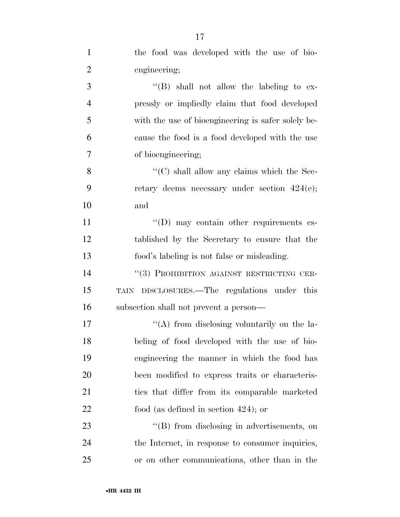| $\mathbf{1}$   | the food was developed with the use of bio-        |
|----------------|----------------------------------------------------|
| $\overline{2}$ | engineering;                                       |
| 3              | $\lq\lq (B)$ shall not allow the labeling to ex-   |
| $\overline{4}$ | pressly or impliedly claim that food developed     |
| 5              | with the use of bioengineering is safer solely be- |
| 6              | cause the food is a food developed with the use    |
| $\tau$         | of bioengineering;                                 |
| 8              | "(C) shall allow any claims which the Sec-         |
| 9              | retary deems necessary under section $424(e)$ ;    |
| 10             | and                                                |
| 11             | $\lq\lq$ (D) may contain other requirements es-    |
| 12             | tablished by the Secretary to ensure that the      |
| 13             | food's labeling is not false or misleading.        |
| 14             | "(3) PROHIBITION AGAINST RESTRICTING CER-          |
| 15             | TAIN DISCLOSURES.—The regulations under this       |
| 16             | subsection shall not prevent a person—             |
| 17             | "(A) from disclosing voluntarily on the la-        |
| 18             | beling of food developed with the use of bio-      |
| 19             | engineering the manner in which the food has       |
| 20             | been modified to express traits or characteris-    |
| 21             | ties that differ from its comparable marketed      |
| 22             | food (as defined in section $424$ ); or            |
| 23             | "(B) from disclosing in advertisements, on         |
| 24             | the Internet, in response to consumer inquiries,   |
| 25             | or on other communications, other than in the      |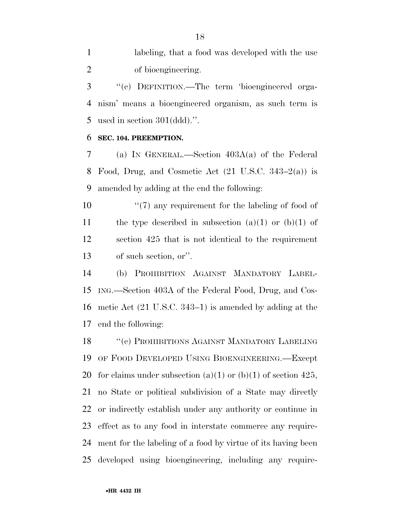labeling, that a food was developed with the use of bioengineering.

 ''(c) DEFINITION.—The term 'bioengineered orga- nism' means a bioengineered organism, as such term is used in section 301(ddd).''.

# **SEC. 104. PREEMPTION.**

 (a) IN GENERAL.—Section 403A(a) of the Federal Food, Drug, and Cosmetic Act (21 U.S.C. 343–2(a)) is amended by adding at the end the following:

 $\frac{1}{2}$  (7) any requirement for the labeling of food of 11 the type described in subsection  $(a)(1)$  or  $(b)(1)$  of section 425 that is not identical to the requirement of such section, or''.

 (b) PROHIBITION AGAINST MANDATORY LABEL- ING.—Section 403A of the Federal Food, Drug, and Cos- metic Act (21 U.S.C. 343–1) is amended by adding at the end the following:

18 "(c) PROHIBITIONS AGAINST MANDATORY LABELING OF FOOD DEVELOPED USING BIOENGINEERING.—Except 20 for claims under subsection  $(a)(1)$  or  $(b)(1)$  of section 425, no State or political subdivision of a State may directly or indirectly establish under any authority or continue in effect as to any food in interstate commerce any require- ment for the labeling of a food by virtue of its having been developed using bioengineering, including any require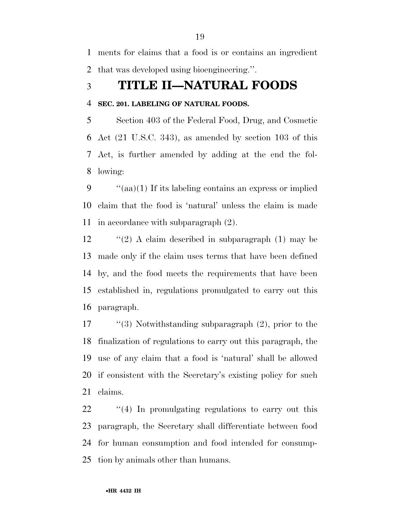ments for claims that a food is or contains an ingredient that was developed using bioengineering.''.

# **TITLE II—NATURAL FOODS**

# **SEC. 201. LABELING OF NATURAL FOODS.**

 Section 403 of the Federal Food, Drug, and Cosmetic Act (21 U.S.C. 343), as amended by section 103 of this Act, is further amended by adding at the end the fol-lowing:

 ''(aa)(1) If its labeling contains an express or implied claim that the food is 'natural' unless the claim is made in accordance with subparagraph (2).

 $\langle (2) \rangle$  A claim described in subparagraph (1) may be made only if the claim uses terms that have been defined by, and the food meets the requirements that have been established in, regulations promulgated to carry out this paragraph.

 ''(3) Notwithstanding subparagraph (2), prior to the finalization of regulations to carry out this paragraph, the use of any claim that a food is 'natural' shall be allowed if consistent with the Secretary's existing policy for such claims.

22 "(4) In promulgating regulations to carry out this paragraph, the Secretary shall differentiate between food for human consumption and food intended for consump-tion by animals other than humans.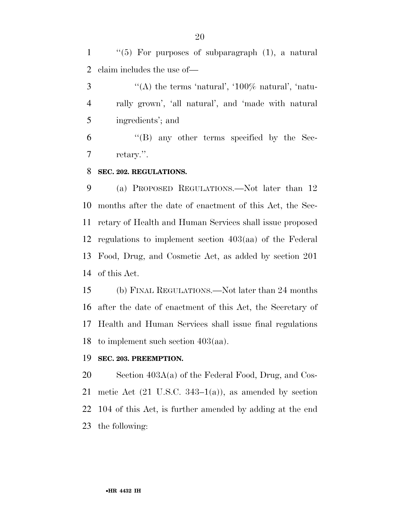''(5) For purposes of subparagraph (1), a natural claim includes the use of—

 $\mathcal{S}$  ''(A) the terms 'natural', '100\% natural', 'natu- rally grown', 'all natural', and 'made with natural ingredients'; and

 ''(B) any other terms specified by the Sec-retary.''.

### **SEC. 202. REGULATIONS.**

 (a) PROPOSED REGULATIONS.—Not later than 12 months after the date of enactment of this Act, the Sec- retary of Health and Human Services shall issue proposed regulations to implement section 403(aa) of the Federal Food, Drug, and Cosmetic Act, as added by section 201 of this Act.

 (b) FINAL REGULATIONS.—Not later than 24 months after the date of enactment of this Act, the Secretary of Health and Human Services shall issue final regulations to implement such section 403(aa).

### **SEC. 203. PREEMPTION.**

 Section 403A(a) of the Federal Food, Drug, and Cos-21 metic Act  $(21 \text{ U.S.C. } 343-1(a))$ , as amended by section 104 of this Act, is further amended by adding at the end the following: